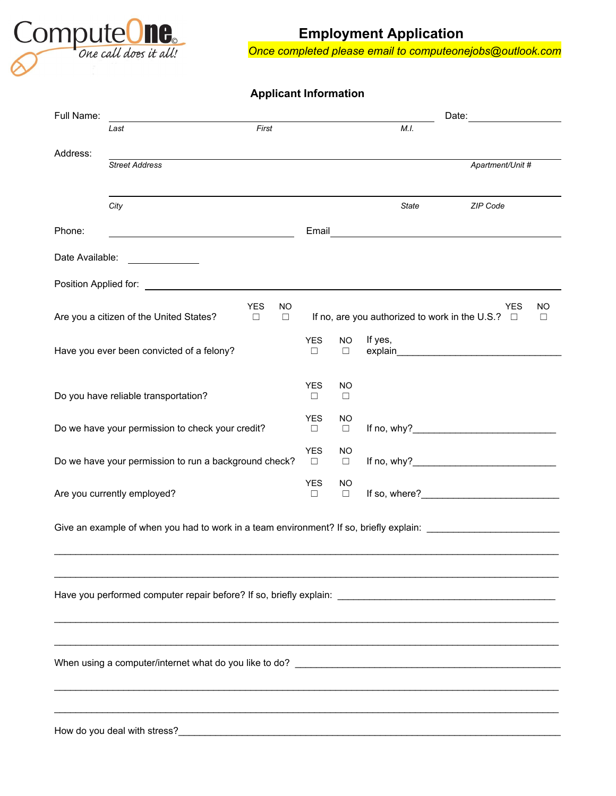

# **Employment Application**

*Once completed please email to computeonejobs@outlook.com*

### **Applicant Information**

| Full Name:      |                                                                                                                |                      |                     | Date:                                                                                                                                                                                                                                                                                | <u> 1980 - Jan Stein Stein Stein Stein Stein Stein Stein Stein Stein Stein Stein Stein Stein Stein Stein Stein S</u> |
|-----------------|----------------------------------------------------------------------------------------------------------------|----------------------|---------------------|--------------------------------------------------------------------------------------------------------------------------------------------------------------------------------------------------------------------------------------------------------------------------------------|----------------------------------------------------------------------------------------------------------------------|
|                 | First<br>Last                                                                                                  |                      |                     | M.I.                                                                                                                                                                                                                                                                                 |                                                                                                                      |
| Address:        |                                                                                                                |                      |                     |                                                                                                                                                                                                                                                                                      |                                                                                                                      |
|                 | <b>Street Address</b>                                                                                          |                      |                     |                                                                                                                                                                                                                                                                                      | Apartment/Unit #                                                                                                     |
|                 |                                                                                                                |                      |                     |                                                                                                                                                                                                                                                                                      |                                                                                                                      |
|                 | City                                                                                                           |                      |                     | State                                                                                                                                                                                                                                                                                | ZIP Code                                                                                                             |
|                 |                                                                                                                |                      |                     |                                                                                                                                                                                                                                                                                      |                                                                                                                      |
| Phone:          | <u> 1980 - Johann Barbara, martxa alemaniar a</u>                                                              |                      |                     | Email <u>_______________________________</u>                                                                                                                                                                                                                                         |                                                                                                                      |
| Date Available: |                                                                                                                |                      |                     |                                                                                                                                                                                                                                                                                      |                                                                                                                      |
|                 |                                                                                                                |                      |                     |                                                                                                                                                                                                                                                                                      |                                                                                                                      |
|                 | <b>YES</b><br>NO<br>Are you a citizen of the United States?<br>$\Box$<br>$\Box$                                |                      |                     | If no, are you authorized to work in the U.S.? $\Box$                                                                                                                                                                                                                                | <b>YES</b><br><b>NO</b><br>$\Box$                                                                                    |
|                 | Have you ever been convicted of a felony?                                                                      | <b>YES</b><br>$\Box$ | <b>NO</b><br>□      | If yes,<br>explain and the contract of the contract of the contract of the contract of the contract of the contract of the                                                                                                                                                           |                                                                                                                      |
|                 | Do you have reliable transportation?                                                                           | <b>YES</b><br>$\Box$ | <b>NO</b><br>$\Box$ |                                                                                                                                                                                                                                                                                      |                                                                                                                      |
|                 |                                                                                                                |                      |                     |                                                                                                                                                                                                                                                                                      |                                                                                                                      |
|                 | Do we have your permission to check your credit?                                                               | <b>YES</b><br>$\Box$ | NO<br>$\Box$        | If no, why? $\sqrt{2}$ and $\sqrt{2}$ and $\sqrt{2}$ and $\sqrt{2}$ and $\sqrt{2}$ and $\sqrt{2}$ and $\sqrt{2}$ and $\sqrt{2}$ and $\sqrt{2}$ and $\sqrt{2}$ and $\sqrt{2}$ and $\sqrt{2}$ and $\sqrt{2}$ and $\sqrt{2}$ and $\sqrt{2}$ and $\sqrt{2}$ and $\sqrt{2}$ and $\sqrt{2$ |                                                                                                                      |
|                 | Do we have your permission to run a background check?                                                          | <b>YES</b><br>$\Box$ | <b>NO</b><br>$\Box$ |                                                                                                                                                                                                                                                                                      |                                                                                                                      |
|                 | Are you currently employed?                                                                                    | <b>YES</b><br>$\Box$ | <b>NO</b><br>$\Box$ |                                                                                                                                                                                                                                                                                      |                                                                                                                      |
|                 | Give an example of when you had to work in a team environment? If so, briefly explain: _______________________ |                      |                     |                                                                                                                                                                                                                                                                                      |                                                                                                                      |
|                 |                                                                                                                |                      |                     |                                                                                                                                                                                                                                                                                      |                                                                                                                      |
|                 |                                                                                                                |                      |                     |                                                                                                                                                                                                                                                                                      |                                                                                                                      |
|                 |                                                                                                                |                      |                     |                                                                                                                                                                                                                                                                                      |                                                                                                                      |
|                 |                                                                                                                |                      |                     |                                                                                                                                                                                                                                                                                      |                                                                                                                      |
|                 |                                                                                                                |                      |                     |                                                                                                                                                                                                                                                                                      |                                                                                                                      |
|                 |                                                                                                                |                      |                     |                                                                                                                                                                                                                                                                                      |                                                                                                                      |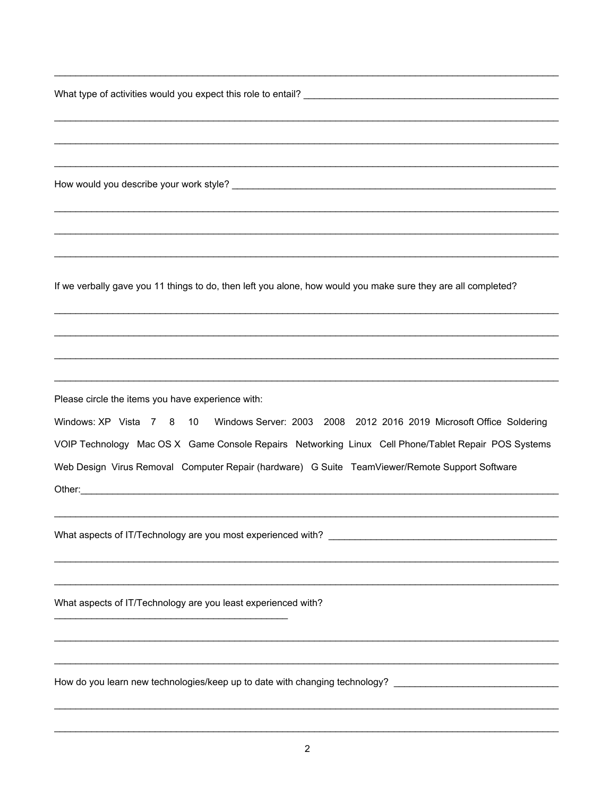What type of activities would you expect this role to entail? Notify the control of the control of the control of the control of the control of the control of the control of the control of the control of the control of the

How would you describe your work style?<br>
How would you describe your work style? If we verbally gave you 11 things to do, then left you alone, how would you make sure they are all completed? Please circle the items you have experience with: Windows: XP Vista 7 8 10 Windows Server: 2003 2008 2012 2016 2019 Microsoft Office Soldering VOIP Technology Mac OS X Game Console Repairs Networking Linux Cell Phone/Tablet Repair POS Systems Web Design Virus Removal Computer Repair (hardware) G Suite TeamViewer/Remote Support Software Other: <u>Communication</u> What aspects of IT/Technology are you least experienced with? How do you learn new technologies/keep up to date with changing technology? \_\_\_\_\_\_\_\_\_\_\_\_\_\_\_\_\_\_\_\_\_\_\_\_\_\_\_\_\_\_\_\_\_\_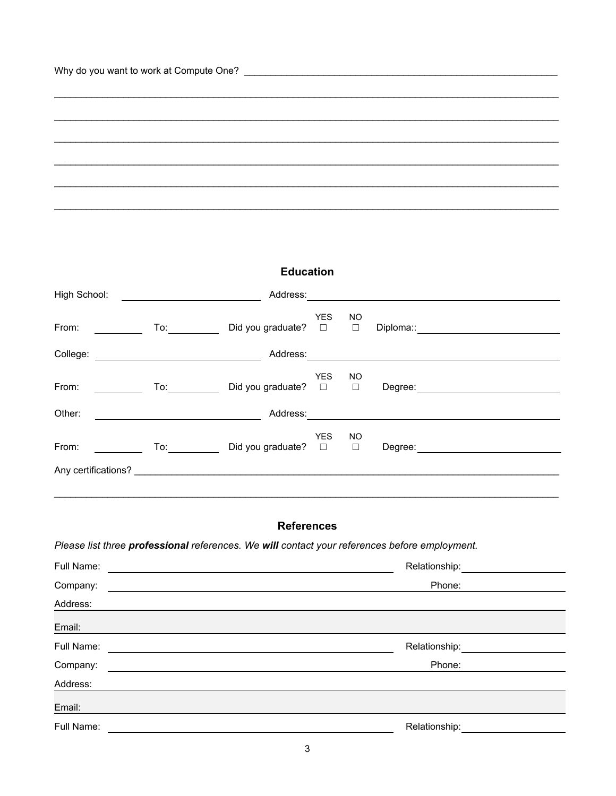**Education**

\_\_\_\_\_\_\_\_\_\_\_\_\_\_\_\_\_\_\_\_\_\_\_\_\_\_\_\_\_\_\_\_\_\_\_\_\_\_\_\_\_\_\_\_\_\_\_\_\_\_\_\_\_\_\_\_\_\_\_\_\_\_\_\_\_\_\_\_\_\_\_\_\_\_\_\_\_\_\_\_\_\_\_\_\_\_\_\_\_\_\_\_\_\_\_

\_\_\_\_\_\_\_\_\_\_\_\_\_\_\_\_\_\_\_\_\_\_\_\_\_\_\_\_\_\_\_\_\_\_\_\_\_\_\_\_\_\_\_\_\_\_\_\_\_\_\_\_\_\_\_\_\_\_\_\_\_\_\_\_\_\_\_\_\_\_\_\_\_\_\_\_\_\_\_\_\_\_\_\_\_\_\_\_\_\_\_\_\_\_\_

\_\_\_\_\_\_\_\_\_\_\_\_\_\_\_\_\_\_\_\_\_\_\_\_\_\_\_\_\_\_\_\_\_\_\_\_\_\_\_\_\_\_\_\_\_\_\_\_\_\_\_\_\_\_\_\_\_\_\_\_\_\_\_\_\_\_\_\_\_\_\_\_\_\_\_\_\_\_\_\_\_\_\_\_\_\_\_\_\_\_\_\_\_\_\_

\_\_\_\_\_\_\_\_\_\_\_\_\_\_\_\_\_\_\_\_\_\_\_\_\_\_\_\_\_\_\_\_\_\_\_\_\_\_\_\_\_\_\_\_\_\_\_\_\_\_\_\_\_\_\_\_\_\_\_\_\_\_\_\_\_\_\_\_\_\_\_\_\_\_\_\_\_\_\_\_\_\_\_\_\_\_\_\_\_\_\_\_\_\_\_ \_\_\_\_\_\_\_\_\_\_\_\_\_\_\_\_\_\_\_\_\_\_\_\_\_\_\_\_\_\_\_\_\_\_\_\_\_\_\_\_\_\_\_\_\_\_\_\_\_\_\_\_\_\_\_\_\_\_\_\_\_\_\_\_\_\_\_\_\_\_\_\_\_\_\_\_\_\_\_\_\_\_\_\_\_\_\_\_\_\_\_\_\_\_\_

\_\_\_\_\_\_\_\_\_\_\_\_\_\_\_\_\_\_\_\_\_\_\_\_\_\_\_\_\_\_\_\_\_\_\_\_\_\_\_\_\_\_\_\_\_\_\_\_\_\_\_\_\_\_\_\_\_\_\_\_\_\_\_\_\_\_\_\_\_\_\_\_\_\_\_\_\_\_\_\_\_\_\_\_\_\_\_\_\_\_\_\_\_\_\_

| High School: |                                                                                                                                                                                                                                                                                                                                                     | Address:                                                                                                       |                      |                     |                                                                                                                                                                                                                                |
|--------------|-----------------------------------------------------------------------------------------------------------------------------------------------------------------------------------------------------------------------------------------------------------------------------------------------------------------------------------------------------|----------------------------------------------------------------------------------------------------------------|----------------------|---------------------|--------------------------------------------------------------------------------------------------------------------------------------------------------------------------------------------------------------------------------|
| From:        |                                                                                                                                                                                                                                                                                                                                                     | Did you graduate?                                                                                              | <b>YES</b><br>$\Box$ | <b>NO</b><br>$\Box$ |                                                                                                                                                                                                                                |
|              |                                                                                                                                                                                                                                                                                                                                                     | Address: Andreas and the state of the state of the state of the state of the state of the state of the state o |                      |                     |                                                                                                                                                                                                                                |
| From:        | $\mathsf{To:}\_\_\_\_\_\_\_\_\_\$<br><u>and the state</u>                                                                                                                                                                                                                                                                                           | Did you graduate?                                                                                              | <b>YES</b><br>$\Box$ | NO<br>$\Box$        |                                                                                                                                                                                                                                |
| Other:       |                                                                                                                                                                                                                                                                                                                                                     |                                                                                                                |                      |                     |                                                                                                                                                                                                                                |
| From:        | $\begin{picture}(15,17) \put(0,0){\line(1,0){15}} \put(15,0){\line(1,0){15}} \put(15,0){\line(1,0){15}} \put(15,0){\line(1,0){15}} \put(15,0){\line(1,0){15}} \put(15,0){\line(1,0){15}} \put(15,0){\line(1,0){15}} \put(15,0){\line(1,0){15}} \put(15,0){\line(1,0){15}} \put(15,0){\line(1,0){15}} \put(15,0){\line(1,0){15}} \put(15,0){\line(1$ | Did you graduate? $\square$                                                                                    | <b>YES</b>           | NO.<br>$\Box$       |                                                                                                                                                                                                                                |
|              |                                                                                                                                                                                                                                                                                                                                                     |                                                                                                                |                      |                     |                                                                                                                                                                                                                                |
|              |                                                                                                                                                                                                                                                                                                                                                     |                                                                                                                |                      |                     |                                                                                                                                                                                                                                |
|              |                                                                                                                                                                                                                                                                                                                                                     | <b>References</b>                                                                                              |                      |                     |                                                                                                                                                                                                                                |
|              |                                                                                                                                                                                                                                                                                                                                                     |                                                                                                                |                      |                     | Please list three professional references. We will contact your references before employment.                                                                                                                                  |
| Full Name:   | <u> 1989 - Johann Stoff, deutscher Stoffen und der Stoffen und der Stoffen und der Stoffen und der Stoffen und der</u>                                                                                                                                                                                                                              |                                                                                                                |                      |                     | Relationship: example and the set of the set of the set of the set of the set of the set of the set of the set of the set of the set of the set of the set of the set of the set of the set of the set of the set of the set o |
| Company:     |                                                                                                                                                                                                                                                                                                                                                     |                                                                                                                |                      |                     | Phone:                                                                                                                                                                                                                         |
| Address:     |                                                                                                                                                                                                                                                                                                                                                     |                                                                                                                |                      |                     |                                                                                                                                                                                                                                |
| Email:       |                                                                                                                                                                                                                                                                                                                                                     |                                                                                                                |                      |                     |                                                                                                                                                                                                                                |
| Full Name:   |                                                                                                                                                                                                                                                                                                                                                     |                                                                                                                |                      |                     | Relationship: <u>_______________</u>                                                                                                                                                                                           |
| Company:     |                                                                                                                                                                                                                                                                                                                                                     |                                                                                                                |                      |                     | Phone:                                                                                                                                                                                                                         |
| Address:     |                                                                                                                                                                                                                                                                                                                                                     |                                                                                                                |                      |                     |                                                                                                                                                                                                                                |
| Email:       |                                                                                                                                                                                                                                                                                                                                                     |                                                                                                                |                      |                     |                                                                                                                                                                                                                                |
| Full Name:   |                                                                                                                                                                                                                                                                                                                                                     |                                                                                                                |                      |                     | Relationship:                                                                                                                                                                                                                  |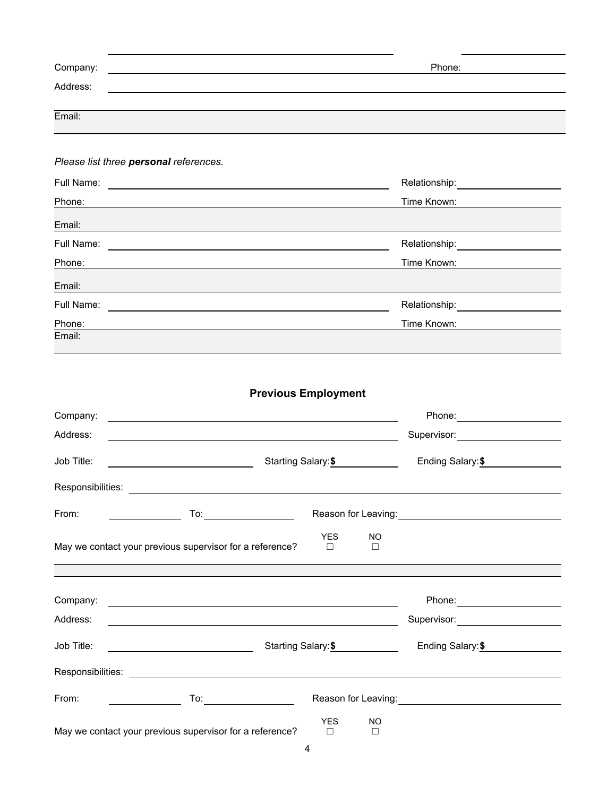| Company: | Phone: |
|----------|--------|
| Address: |        |
|          |        |
| Email:   |        |

#### *Please list three personal references.*

| Full Name: | Relationship: |
|------------|---------------|
| Phone:     | Time Known:   |
| Email:     |               |
| Full Name: | Relationship: |
| Phone:     | Time Known:   |
| Email:     |               |
| Full Name: | Relationship: |
| Phone:     | Time Known:   |
| Email:     |               |

## **Previous Employment**

| Company:          |                                                                                                                                                                                                                                |                      |                                  |                                                                                                                                                                                                                                  |  |
|-------------------|--------------------------------------------------------------------------------------------------------------------------------------------------------------------------------------------------------------------------------|----------------------|----------------------------------|----------------------------------------------------------------------------------------------------------------------------------------------------------------------------------------------------------------------------------|--|
| Address:          |                                                                                                                                                                                                                                |                      |                                  |                                                                                                                                                                                                                                  |  |
| Job Title:        |                                                                                                                                                                                                                                |                      | Starting Salary:\$ _____________ | Ending Salary: \$                                                                                                                                                                                                                |  |
|                   |                                                                                                                                                                                                                                |                      |                                  |                                                                                                                                                                                                                                  |  |
| From:             |                                                                                                                                                                                                                                |                      |                                  |                                                                                                                                                                                                                                  |  |
|                   | May we contact your previous supervisor for a reference?                                                                                                                                                                       | <b>YES</b><br>$\Box$ | <b>NO</b><br>$\Box$              |                                                                                                                                                                                                                                  |  |
|                   |                                                                                                                                                                                                                                |                      |                                  |                                                                                                                                                                                                                                  |  |
| Company:          | <u> 1989 - Johann Barbara, martin amerikan basal dan berasal dan berasal dan berasal dari berasal dan berasal dan</u>                                                                                                          |                      |                                  |                                                                                                                                                                                                                                  |  |
| Address:          |                                                                                                                                                                                                                                |                      |                                  | Supervisor: Supervisor:                                                                                                                                                                                                          |  |
| Job Title:        |                                                                                                                                                                                                                                |                      | Starting Salary: \$              | Ending Salary: \$                                                                                                                                                                                                                |  |
| Responsibilities: |                                                                                                                                                                                                                                |                      |                                  |                                                                                                                                                                                                                                  |  |
| From:             | To: the contract of the contract of the contract of the contract of the contract of the contract of the contract of the contract of the contract of the contract of the contract of the contract of the contract of the contra |                      |                                  | Reason for Leaving:<br>Notice that the set of the set of the set of the set of the set of the set of the set of the set of the set of the set of the set of the set of the set of the set of the set of the set of the set of th |  |
|                   | May we contact your previous supervisor for a reference?                                                                                                                                                                       | <b>YES</b><br>$\Box$ | <b>NO</b><br>$\Box$              |                                                                                                                                                                                                                                  |  |